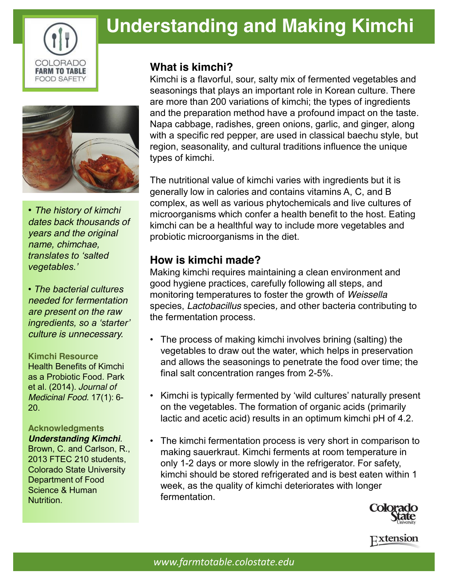

# **Understanding and Making Kimchi**



*• The history of kimchi dates back thousands of years and the original name, chimchae, translates to 'salted vegetables.'* 

*• The bacterial cultures needed for fermentation are present on the raw ingredients, so a 'starter' culture is unnecessary.*

#### **Kimchi Resource**

Health Benefits of Kimchi as a Probiotic Food. Park et al. (2014). *Journal of Medicinal Food.* 17(1): 6- 20.

**Acknowledgments** *Understanding Kimchi.*  Brown, C. and Carlson, R., 2013 FTEC 210 students, Colorado State University Department of Food Science & Human Nutrition.

### **What is kimchi?**

Kimchi is a flavorful, sour, salty mix of fermented vegetables and seasonings that plays an important role in Korean culture. There are more than 200 variations of kimchi; the types of ingredients and the preparation method have a profound impact on the taste. Napa cabbage, radishes, green onions, garlic, and ginger, along with a specific red pepper, are used in classical baechu style, but region, seasonality, and cultural traditions influence the unique types of kimchi.

The nutritional value of kimchi varies with ingredients but it is generally low in calories and contains vitamins A, C, and B complex, as well as various phytochemicals and live cultures of microorganisms which confer a health benefit to the host. Eating kimchi can be a healthful way to include more vegetables and probiotic microorganisms in the diet.

## **How is kimchi made?**

Making kimchi requires maintaining a clean environment and good hygiene practices, carefully following all steps, and monitoring temperatures to foster the growth of *Weissella* species, *Lactobacillus* species*,* and other bacteria contributing to the fermentation process.

- The process of making kimchi involves brining (salting) the vegetables to draw out the water, which helps in preservation and allows the seasonings to penetrate the food over time; the final salt concentration ranges from 2-5%.
- Kimchi is typically fermented by 'wild cultures' naturally present on the vegetables. The formation of organic acids (primarily lactic and acetic acid) results in an optimum kimchi pH of 4.2.
- The kimchi fermentation process is very short in comparison to making sauerkraut. Kimchi ferments at room temperature in only 1-2 days or more slowly in the refrigerator. For safety, kimchi should be stored refrigerated and is best eaten within 1 week, as the quality of kimchi deteriorates with longer fermentation.



Extension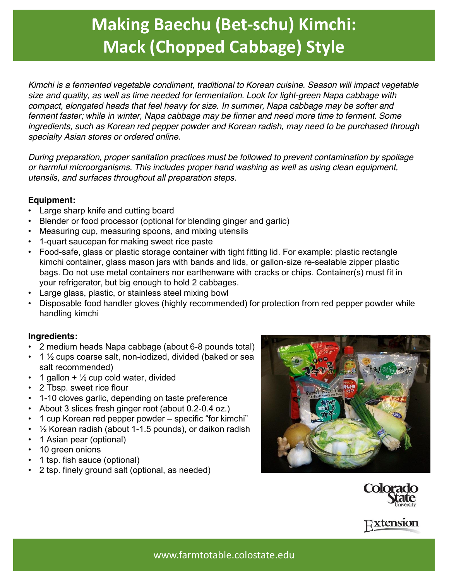# **Making Baechu (Bet-schu) Kimchi: Mack (Chopped Cabbage) Style**

*Kimchi is a fermented vegetable condiment, traditional to Korean cuisine. Season will impact vegetable size and quality, as well as time needed for fermentation. Look for light-green Napa cabbage with compact, elongated heads that feel heavy for size. In summer, Napa cabbage may be softer and ferment faster; while in winter, Napa cabbage may be firmer and need more time to ferment. Some ingredients, such as Korean red pepper powder and Korean radish, may need to be purchased through specialty Asian stores or ordered online.*

*During preparation, proper sanitation practices must be followed to prevent contamination by spoilage or harmful microorganisms. This includes proper hand washing as well as using clean equipment, utensils, and surfaces throughout all preparation steps.* 

### **Equipment:**

- Large sharp knife and cutting board
- Blender or food processor (optional for blending ginger and garlic)
- Measuring cup, measuring spoons, and mixing utensils
- 1-quart saucepan for making sweet rice paste
- Food-safe, glass or plastic storage container with tight fitting lid. For example: plastic rectangle kimchi container, glass mason jars with bands and lids, or gallon-size re-sealable zipper plastic bags. Do not use metal containers nor earthenware with cracks or chips. Container(s) must fit in your refrigerator, but big enough to hold 2 cabbages.
- Large glass, plastic, or stainless steel mixing bowl
- Disposable food handler gloves (highly recommended) for protection from red pepper powder while handling kimchi

### **Ingredients:**

- 2 medium heads Napa cabbage (about 6-8 pounds total)
- 1 ½ cups coarse salt, non-iodized, divided (baked or sea salt recommended)
- 1 gallon  $+$   $\frac{1}{2}$  cup cold water, divided
- 2 Tbsp. sweet rice flour
- 1-10 cloves garlic, depending on taste preference
- About 3 slices fresh ginger root (about 0.2-0.4 oz.)
- 1 cup Korean red pepper powder specific "for kimchi"
- ½ Korean radish (about 1-1.5 pounds), or daikon radish
- 1 Asian pear (optional)
- 10 green onions
- 1 tsp. fish sauce (optional)
- 2 tsp. finely ground salt (optional, as needed)







www.farmtotable.colostate.edu